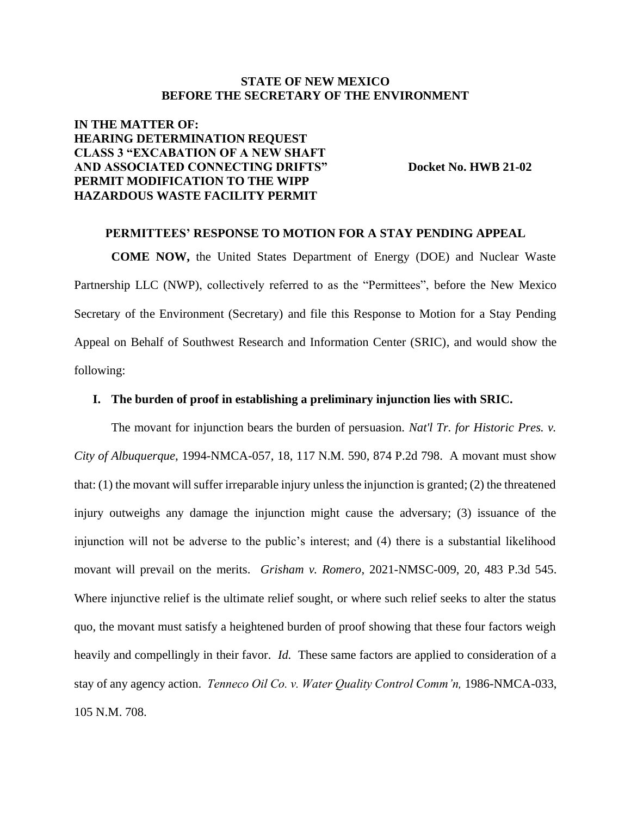#### **STATE OF NEW MEXICO BEFORE THE SECRETARY OF THE ENVIRONMENT**

# **IN THE MATTER OF: HEARING DETERMINATION REQUEST CLASS 3 "EXCABATION OF A NEW SHAFT AND ASSOCIATED CONNECTING DRIFTS" Docket No. HWB 21-02 PERMIT MODIFICATION TO THE WIPP HAZARDOUS WASTE FACILITY PERMIT**

#### **PERMITTEES' RESPONSE TO MOTION FOR A STAY PENDING APPEAL**

**COME NOW,** the United States Department of Energy (DOE) and Nuclear Waste Partnership LLC (NWP), collectively referred to as the "Permittees", before the New Mexico Secretary of the Environment (Secretary) and file this Response to Motion for a Stay Pending Appeal on Behalf of Southwest Research and Information Center (SRIC), and would show the following:

#### **I. The burden of proof in establishing a preliminary injunction lies with SRIC.**

The movant for injunction bears the burden of persuasion. *Nat'l Tr. for Historic Pres. v. City of Albuquerque*, 1994-NMCA-057, 18, 117 N.M. 590, 874 P.2d 798. A movant must show that: (1) the movant will suffer irreparable injury unless the injunction is granted; (2) the threatened injury outweighs any damage the injunction might cause the adversary; (3) issuance of the injunction will not be adverse to the public's interest; and (4) there is a substantial likelihood movant will prevail on the merits. *Grisham v. Romero*, 2021-NMSC-009, 20, 483 P.3d 545. Where injunctive relief is the ultimate relief sought, or where such relief seeks to alter the status quo, the movant must satisfy a heightened burden of proof showing that these four factors weigh heavily and compellingly in their favor. *Id.* These same factors are applied to consideration of a stay of any agency action. *Tenneco Oil Co. v. Water Quality Control Comm'n,* 1986-NMCA-033, 105 N.M. 708.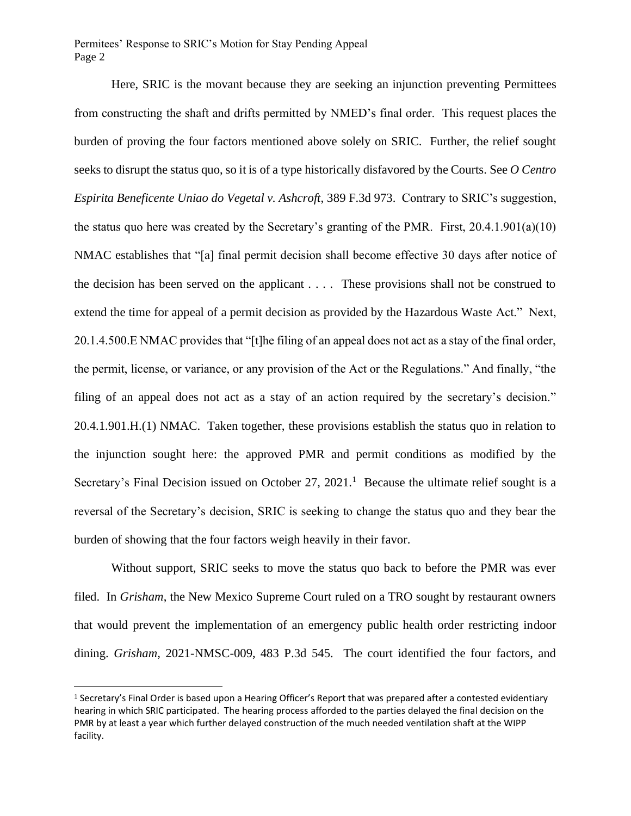Here, SRIC is the movant because they are seeking an injunction preventing Permittees from constructing the shaft and drifts permitted by NMED's final order. This request places the burden of proving the four factors mentioned above solely on SRIC. Further, the relief sought seeks to disrupt the status quo, so it is of a type historically disfavored by the Courts. See *O Centro Espirita Beneficente Uniao do Vegetal v. Ashcroft*, 389 F.3d 973. Contrary to SRIC's suggestion, the status quo here was created by the Secretary's granting of the PMR. First, 20.4.1.901(a)(10) NMAC establishes that "[a] final permit decision shall become effective 30 days after notice of the decision has been served on the applicant . . . . These provisions shall not be construed to extend the time for appeal of a permit decision as provided by the Hazardous Waste Act." Next, 20.1.4.500.E NMAC provides that "[t]he filing of an appeal does not act as a stay of the final order, the permit, license, or variance, or any provision of the Act or the Regulations." And finally, "the filing of an appeal does not act as a stay of an action required by the secretary's decision." 20.4.1.901.H.(1) NMAC. Taken together, these provisions establish the status quo in relation to the injunction sought here: the approved PMR and permit conditions as modified by the Secretary's Final Decision issued on October 27, 2021.<sup>1</sup> Because the ultimate relief sought is a reversal of the Secretary's decision, SRIC is seeking to change the status quo and they bear the burden of showing that the four factors weigh heavily in their favor.

Without support, SRIC seeks to move the status quo back to before the PMR was ever filed. In *Grisham*, the New Mexico Supreme Court ruled on a TRO sought by restaurant owners that would prevent the implementation of an emergency public health order restricting indoor dining. *Grisham,* 2021-NMSC-009, 483 P.3d 545. The court identified the four factors, and

<sup>1</sup> Secretary's Final Order is based upon a Hearing Officer's Report that was prepared after a contested evidentiary hearing in which SRIC participated. The hearing process afforded to the parties delayed the final decision on the PMR by at least a year which further delayed construction of the much needed ventilation shaft at the WIPP facility.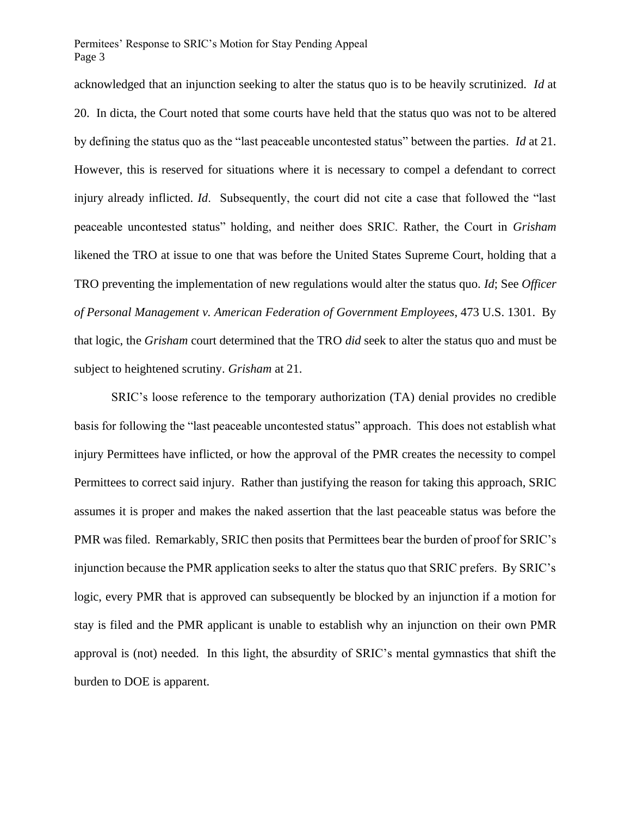acknowledged that an injunction seeking to alter the status quo is to be heavily scrutinized. *Id* at 20. In dicta, the Court noted that some courts have held that the status quo was not to be altered by defining the status quo as the "last peaceable uncontested status" between the parties. *Id* at 21. However, this is reserved for situations where it is necessary to compel a defendant to correct injury already inflicted. *Id*. Subsequently, the court did not cite a case that followed the "last peaceable uncontested status" holding, and neither does SRIC. Rather, the Court in *Grisham*  likened the TRO at issue to one that was before the United States Supreme Court, holding that a TRO preventing the implementation of new regulations would alter the status quo. *Id*; See *Officer of Personal Management v. American Federation of Government Employees*, 473 U.S. 1301. By that logic, the *Grisham* court determined that the TRO *did* seek to alter the status quo and must be subject to heightened scrutiny. *Grisham* at 21.

SRIC's loose reference to the temporary authorization (TA) denial provides no credible basis for following the "last peaceable uncontested status" approach. This does not establish what injury Permittees have inflicted, or how the approval of the PMR creates the necessity to compel Permittees to correct said injury. Rather than justifying the reason for taking this approach, SRIC assumes it is proper and makes the naked assertion that the last peaceable status was before the PMR was filed. Remarkably, SRIC then posits that Permittees bear the burden of proof for SRIC's injunction because the PMR application seeks to alter the status quo that SRIC prefers. By SRIC's logic, every PMR that is approved can subsequently be blocked by an injunction if a motion for stay is filed and the PMR applicant is unable to establish why an injunction on their own PMR approval is (not) needed. In this light, the absurdity of SRIC's mental gymnastics that shift the burden to DOE is apparent.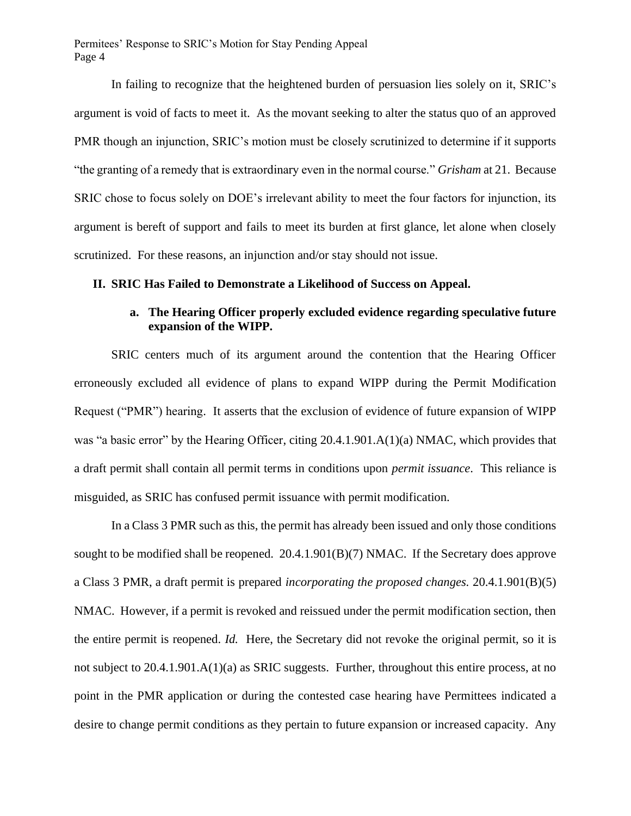In failing to recognize that the heightened burden of persuasion lies solely on it, SRIC's argument is void of facts to meet it. As the movant seeking to alter the status quo of an approved PMR though an injunction, SRIC's motion must be closely scrutinized to determine if it supports "the granting of a remedy that is extraordinary even in the normal course." *Grisham* at 21. Because SRIC chose to focus solely on DOE's irrelevant ability to meet the four factors for injunction, its argument is bereft of support and fails to meet its burden at first glance, let alone when closely scrutinized. For these reasons, an injunction and/or stay should not issue.

#### **II. SRIC Has Failed to Demonstrate a Likelihood of Success on Appeal.**

# **a. The Hearing Officer properly excluded evidence regarding speculative future expansion of the WIPP.**

SRIC centers much of its argument around the contention that the Hearing Officer erroneously excluded all evidence of plans to expand WIPP during the Permit Modification Request ("PMR") hearing. It asserts that the exclusion of evidence of future expansion of WIPP was "a basic error" by the Hearing Officer, citing  $20.4.1.901 \text{A}(1)(a)$  NMAC, which provides that a draft permit shall contain all permit terms in conditions upon *permit issuance*. This reliance is misguided, as SRIC has confused permit issuance with permit modification.

In a Class 3 PMR such as this, the permit has already been issued and only those conditions sought to be modified shall be reopened. 20.4.1.901(B)(7) NMAC. If the Secretary does approve a Class 3 PMR, a draft permit is prepared *incorporating the proposed changes.* 20.4.1.901(B)(5) NMAC. However, if a permit is revoked and reissued under the permit modification section, then the entire permit is reopened. *Id.* Here, the Secretary did not revoke the original permit, so it is not subject to 20.4.1.901.A(1)(a) as SRIC suggests. Further, throughout this entire process, at no point in the PMR application or during the contested case hearing have Permittees indicated a desire to change permit conditions as they pertain to future expansion or increased capacity. Any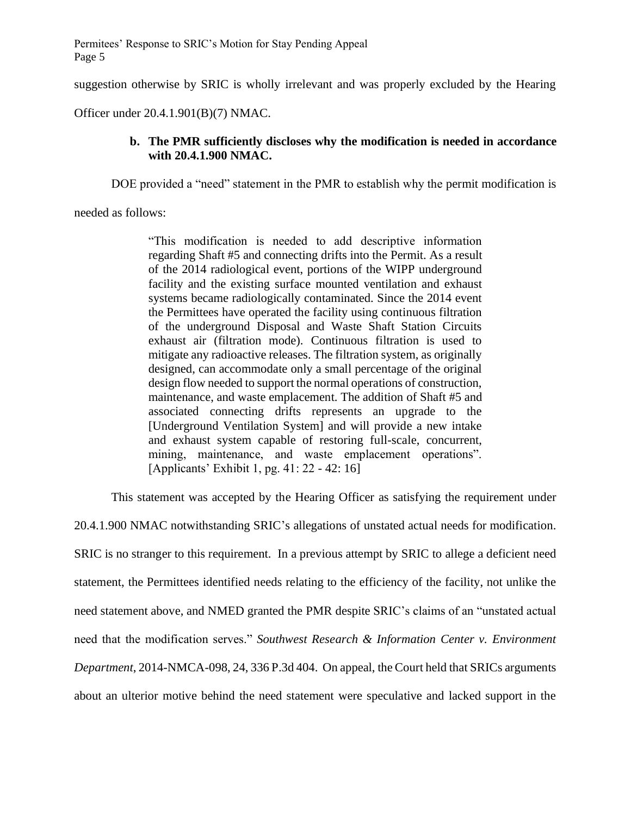Permitees' Response to SRIC's Motion for Stay Pending Appeal Page 5

suggestion otherwise by SRIC is wholly irrelevant and was properly excluded by the Hearing

Officer under 20.4.1.901(B)(7) NMAC.

# **b. The PMR sufficiently discloses why the modification is needed in accordance with 20.4.1.900 NMAC.**

DOE provided a "need" statement in the PMR to establish why the permit modification is

needed as follows:

"This modification is needed to add descriptive information regarding Shaft #5 and connecting drifts into the Permit. As a result of the 2014 radiological event, portions of the WIPP underground facility and the existing surface mounted ventilation and exhaust systems became radiologically contaminated. Since the 2014 event the Permittees have operated the facility using continuous filtration of the underground Disposal and Waste Shaft Station Circuits exhaust air (filtration mode). Continuous filtration is used to mitigate any radioactive releases. The filtration system, as originally designed, can accommodate only a small percentage of the original design flow needed to support the normal operations of construction, maintenance, and waste emplacement. The addition of Shaft #5 and associated connecting drifts represents an upgrade to the [Underground Ventilation System] and will provide a new intake and exhaust system capable of restoring full-scale, concurrent, mining, maintenance, and waste emplacement operations". [Applicants' Exhibit 1, pg. 41: 22 - 42: 16]

This statement was accepted by the Hearing Officer as satisfying the requirement under

20.4.1.900 NMAC notwithstanding SRIC's allegations of unstated actual needs for modification. SRIC is no stranger to this requirement. In a previous attempt by SRIC to allege a deficient need statement, the Permittees identified needs relating to the efficiency of the facility, not unlike the need statement above, and NMED granted the PMR despite SRIC's claims of an "unstated actual need that the modification serves." *Southwest Research & Information Center v. Environment Department*, 2014-NMCA-098, 24, 336 P.3d 404. On appeal, the Court held that SRICs arguments about an ulterior motive behind the need statement were speculative and lacked support in the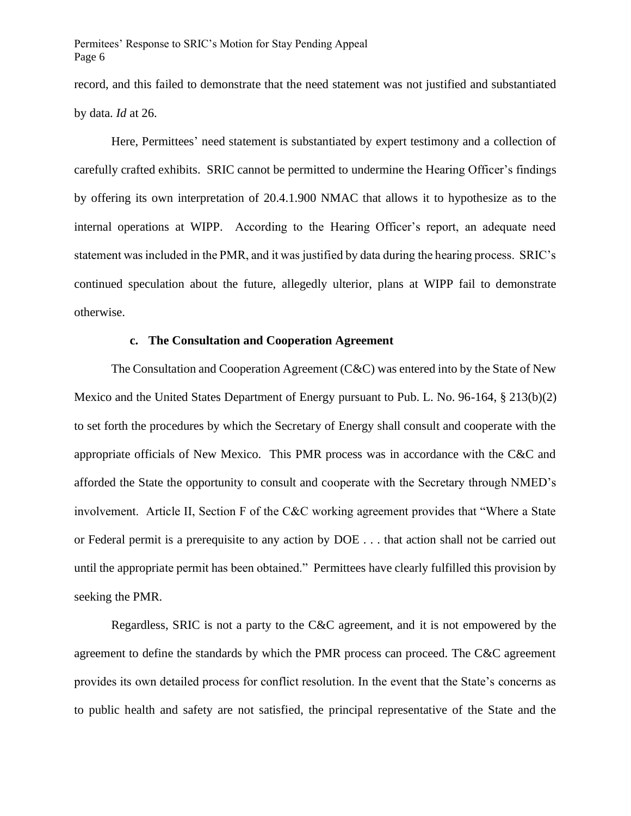record, and this failed to demonstrate that the need statement was not justified and substantiated by data. *Id* at 26.

Here, Permittees' need statement is substantiated by expert testimony and a collection of carefully crafted exhibits. SRIC cannot be permitted to undermine the Hearing Officer's findings by offering its own interpretation of 20.4.1.900 NMAC that allows it to hypothesize as to the internal operations at WIPP. According to the Hearing Officer's report, an adequate need statement was included in the PMR, and it was justified by data during the hearing process. SRIC's continued speculation about the future, allegedly ulterior, plans at WIPP fail to demonstrate otherwise.

#### **c. The Consultation and Cooperation Agreement**

The Consultation and Cooperation Agreement (C&C) was entered into by the State of New Mexico and the United States Department of Energy pursuant to Pub. L. No. 96-164, § 213(b)(2) to set forth the procedures by which the Secretary of Energy shall consult and cooperate with the appropriate officials of New Mexico. This PMR process was in accordance with the C&C and afforded the State the opportunity to consult and cooperate with the Secretary through NMED's involvement. Article II, Section F of the C&C working agreement provides that "Where a State or Federal permit is a prerequisite to any action by DOE . . . that action shall not be carried out until the appropriate permit has been obtained." Permittees have clearly fulfilled this provision by seeking the PMR.

Regardless, SRIC is not a party to the C&C agreement, and it is not empowered by the agreement to define the standards by which the PMR process can proceed. The C&C agreement provides its own detailed process for conflict resolution. In the event that the State's concerns as to public health and safety are not satisfied, the principal representative of the State and the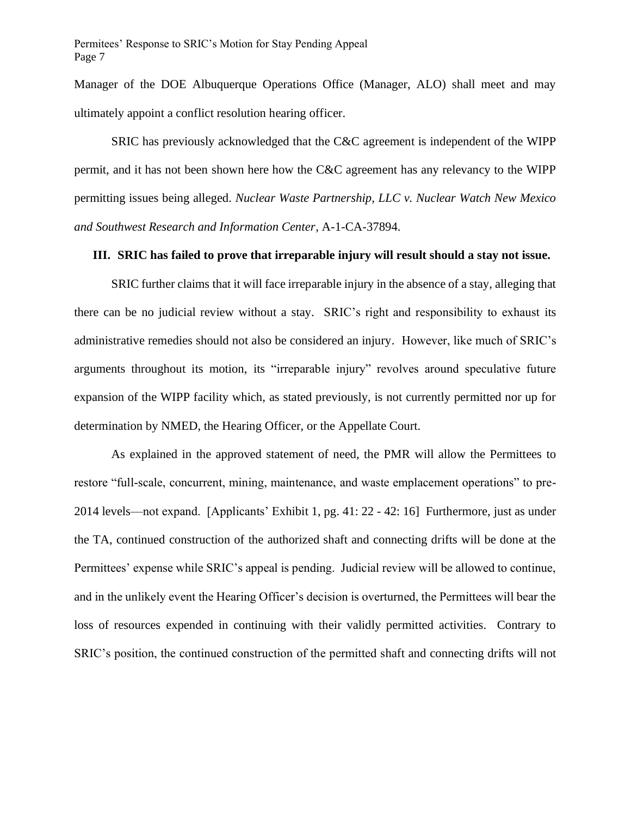Manager of the DOE Albuquerque Operations Office (Manager, ALO) shall meet and may ultimately appoint a conflict resolution hearing officer.

SRIC has previously acknowledged that the C&C agreement is independent of the WIPP permit, and it has not been shown here how the C&C agreement has any relevancy to the WIPP permitting issues being alleged. *Nuclear Waste Partnership, LLC v. Nuclear Watch New Mexico and Southwest Research and Information Center*, A-1-CA-37894.

### **III. SRIC has failed to prove that irreparable injury will result should a stay not issue.**

SRIC further claims that it will face irreparable injury in the absence of a stay, alleging that there can be no judicial review without a stay. SRIC's right and responsibility to exhaust its administrative remedies should not also be considered an injury. However, like much of SRIC's arguments throughout its motion, its "irreparable injury" revolves around speculative future expansion of the WIPP facility which, as stated previously, is not currently permitted nor up for determination by NMED, the Hearing Officer, or the Appellate Court.

As explained in the approved statement of need, the PMR will allow the Permittees to restore "full-scale, concurrent, mining, maintenance, and waste emplacement operations" to pre-2014 levels—not expand. [Applicants' Exhibit 1, pg. 41: 22 - 42: 16] Furthermore, just as under the TA, continued construction of the authorized shaft and connecting drifts will be done at the Permittees' expense while SRIC's appeal is pending. Judicial review will be allowed to continue, and in the unlikely event the Hearing Officer's decision is overturned, the Permittees will bear the loss of resources expended in continuing with their validly permitted activities. Contrary to SRIC's position, the continued construction of the permitted shaft and connecting drifts will not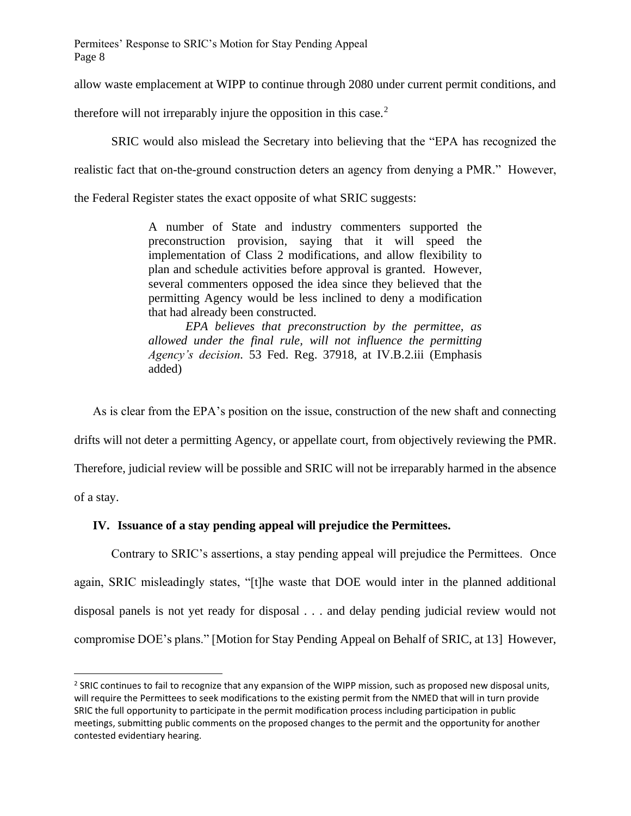Permitees' Response to SRIC's Motion for Stay Pending Appeal Page 8

allow waste emplacement at WIPP to continue through 2080 under current permit conditions, and

therefore will not irreparably injure the opposition in this case. $<sup>2</sup>$ </sup>

SRIC would also mislead the Secretary into believing that the "EPA has recognized the

realistic fact that on-the-ground construction deters an agency from denying a PMR." However,

the Federal Register states the exact opposite of what SRIC suggests:

A number of State and industry commenters supported the preconstruction provision, saying that it will speed the implementation of Class 2 modifications, and allow flexibility to plan and schedule activities before approval is granted. However, several commenters opposed the idea since they believed that the permitting Agency would be less inclined to deny a modification that had already been constructed.

*EPA believes that preconstruction by the permittee, as allowed under the final rule, will not influence the permitting Agency's decision.* 53 Fed. Reg. 37918, at IV.B.2.iii (Emphasis added)

As is clear from the EPA's position on the issue, construction of the new shaft and connecting

drifts will not deter a permitting Agency, or appellate court, from objectively reviewing the PMR.

Therefore, judicial review will be possible and SRIC will not be irreparably harmed in the absence

of a stay.

# **IV. Issuance of a stay pending appeal will prejudice the Permittees.**

Contrary to SRIC's assertions, a stay pending appeal will prejudice the Permittees. Once again, SRIC misleadingly states, "[t]he waste that DOE would inter in the planned additional disposal panels is not yet ready for disposal . . . and delay pending judicial review would not compromise DOE's plans." [Motion for Stay Pending Appeal on Behalf of SRIC, at 13] However,

<sup>&</sup>lt;sup>2</sup> SRIC continues to fail to recognize that any expansion of the WIPP mission, such as proposed new disposal units, will require the Permittees to seek modifications to the existing permit from the NMED that will in turn provide SRIC the full opportunity to participate in the permit modification process including participation in public meetings, submitting public comments on the proposed changes to the permit and the opportunity for another contested evidentiary hearing.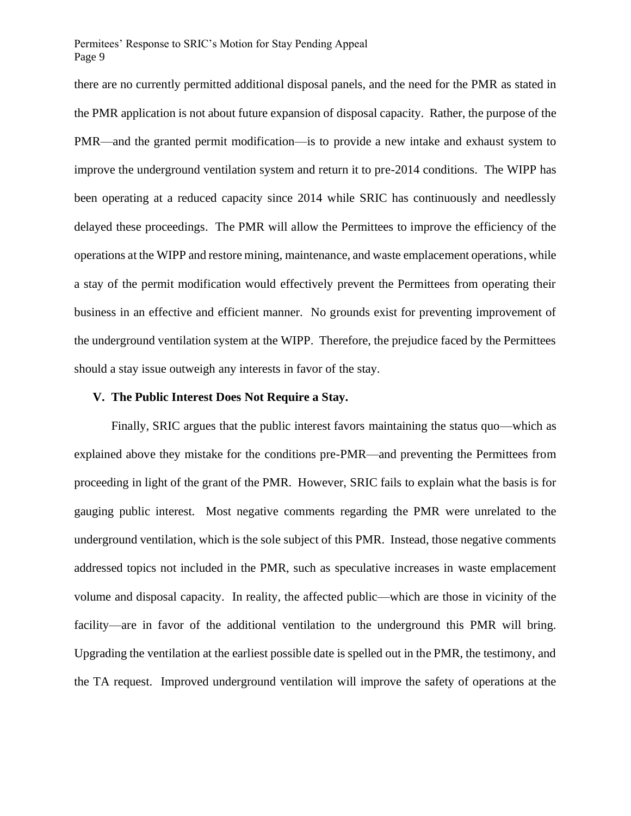there are no currently permitted additional disposal panels, and the need for the PMR as stated in the PMR application is not about future expansion of disposal capacity. Rather, the purpose of the PMR—and the granted permit modification—is to provide a new intake and exhaust system to improve the underground ventilation system and return it to pre-2014 conditions. The WIPP has been operating at a reduced capacity since 2014 while SRIC has continuously and needlessly delayed these proceedings. The PMR will allow the Permittees to improve the efficiency of the operations at the WIPP and restore mining, maintenance, and waste emplacement operations, while a stay of the permit modification would effectively prevent the Permittees from operating their business in an effective and efficient manner. No grounds exist for preventing improvement of the underground ventilation system at the WIPP. Therefore, the prejudice faced by the Permittees should a stay issue outweigh any interests in favor of the stay.

#### **V. The Public Interest Does Not Require a Stay.**

Finally, SRIC argues that the public interest favors maintaining the status quo—which as explained above they mistake for the conditions pre-PMR—and preventing the Permittees from proceeding in light of the grant of the PMR. However, SRIC fails to explain what the basis is for gauging public interest. Most negative comments regarding the PMR were unrelated to the underground ventilation, which is the sole subject of this PMR. Instead, those negative comments addressed topics not included in the PMR, such as speculative increases in waste emplacement volume and disposal capacity. In reality, the affected public—which are those in vicinity of the facility—are in favor of the additional ventilation to the underground this PMR will bring. Upgrading the ventilation at the earliest possible date is spelled out in the PMR, the testimony, and the TA request. Improved underground ventilation will improve the safety of operations at the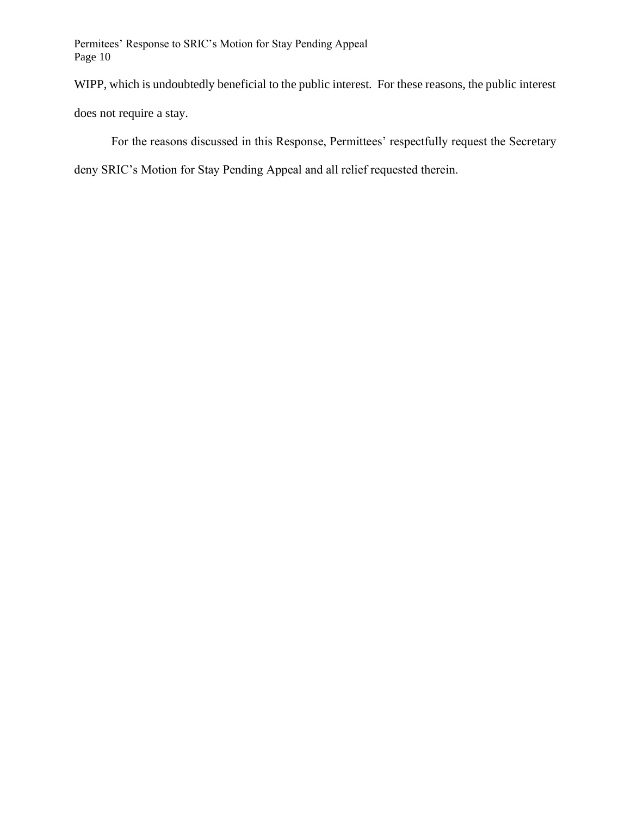Permitees' Response to SRIC's Motion for Stay Pending Appeal Page 10

WIPP, which is undoubtedly beneficial to the public interest. For these reasons, the public interest

does not require a stay.

For the reasons discussed in this Response, Permittees' respectfully request the Secretary

deny SRIC's Motion for Stay Pending Appeal and all relief requested therein.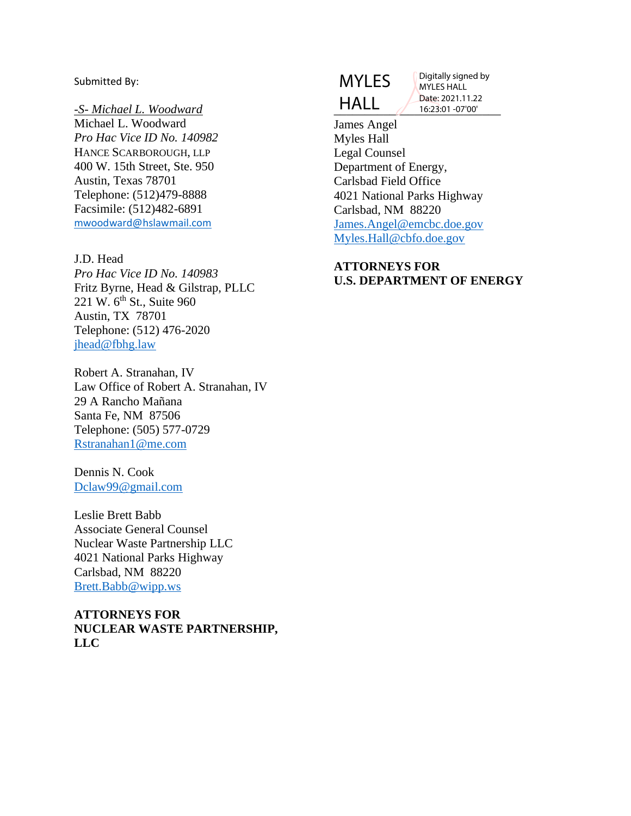Submitted By:

-*S- Michael L. Woodward* Michael L. Woodward *Pro Hac Vice ID No. 140982* HANCE SCARBOROUGH, LLP 400 W. 15th Street, Ste. 950 Austin, Texas 78701 Telephone: (512)479-8888 Facsimile: (512)482-6891 [mwoodward@hslawmail.com](mailto:mwoodward@hslawmail.com)

J.D. Head *Pro Hac Vice ID No. 140983* Fritz Byrne, Head & Gilstrap, PLLC 221 W.  $6^{th}$  St., Suite 960 Austin, TX 78701 Telephone: (512) 476-2020 [jhead@fbhg.law](mailto:jhead@fbhg.law)

Robert A. Stranahan, IV Law Office of Robert A. Stranahan, IV 29 A Rancho Mañana Santa Fe, NM 87506 Telephone: (505) 577-0729 [Rstranahan1@me.com](mailto:Rstranahan1@me.com)

Dennis N. Cook [Dclaw99@gmail.com](mailto:Dclaw99@gmail.com)

Leslie Brett Babb Associate General Counsel Nuclear Waste Partnership LLC 4021 National Parks Highway Carlsbad, NM 88220 [Brett.Babb@wipp.ws](mailto:Brett.Babb@wipp.ws)

# **ATTORNEYS FOR NUCLEAR WASTE PARTNERSHIP, LLC**

# MYLES HALL

 $\frac{111}{16.23:01}$  -07'00' Digitally signed by MYLES HALL Date: 2021.11.22

James Angel Myles Hall Legal Counsel Department of Energy, Carlsbad Field Office 4021 National Parks Highway Carlsbad, NM 88220 [James.Angel@emcbc.doe.gov](mailto:James.Angel@emcbc.doe.gov) [Myles.Hall@cbfo.doe.gov](mailto:Myles.Hall@cbfo.doe.gov)

# **ATTORNEYS FOR U.S. DEPARTMENT OF ENERGY**